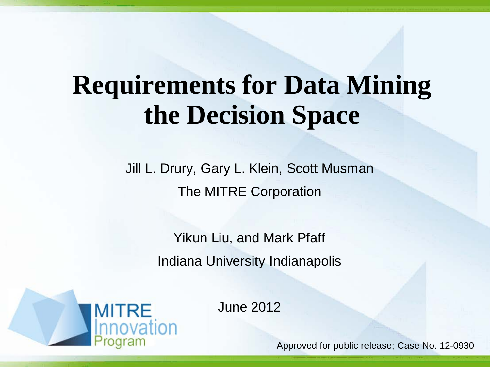# **Requirements for Data Mining the Decision Space**

Jill L. Drury, Gary L. Klein, Scott Musman The MITRE Corporation

> Yikun Liu, and Mark Pfaff Indiana University Indianapolis



June 2012

Approved for public release; Case No. 12-0930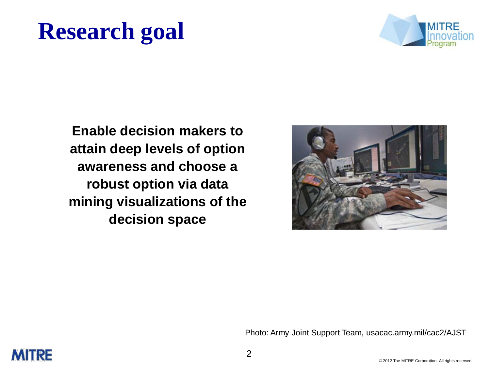# **Research goal**



**Enable decision makers to attain deep levels of option awareness and choose a robust option via data mining visualizations of the decision space**



Photo: Army Joint Support Team, usacac.army.mil/cac2/AJST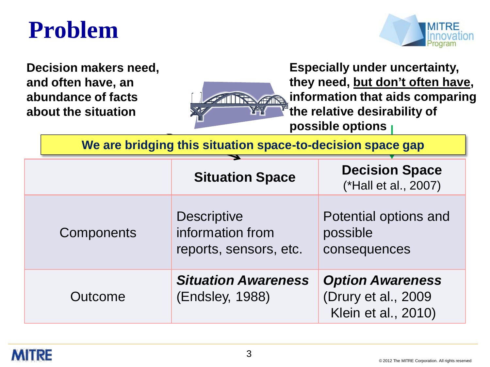## **Problem**



**Decision makers need, and often have, an abundance of facts about the situation**



**Especially under uncertainty, they need, but don't often have, information that aids comparing the relative desirability of possible options**

**We are bridging this situation space-to-decision space gap**

|            | <b>Situation Space</b>                                           | <b>Decision Space</b><br>(*Hall et al., 2007)                         |  |  |
|------------|------------------------------------------------------------------|-----------------------------------------------------------------------|--|--|
| Components | <b>Descriptive</b><br>information from<br>reports, sensors, etc. | Potential options and<br>possible<br>consequences                     |  |  |
| Outcome    | <b>Situation Awareness</b><br>(Endsley, 1988)                    | <b>Option Awareness</b><br>(Drury et al., 2009<br>Klein et al., 2010) |  |  |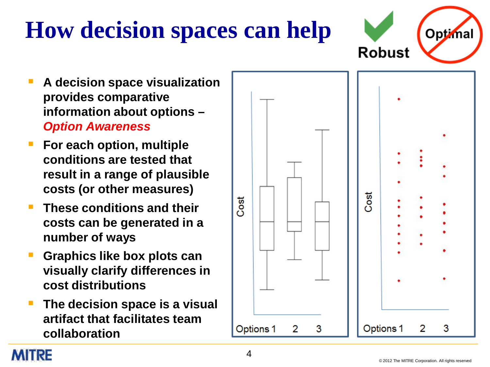#### © 2012 The MITRE Corporation. All rights reserved

# **How decision spaces can help**

- **A decision space visualization provides comparative information about options –** *Option Awareness*
- **For each option, multiple conditions are tested that result in a range of plausible costs (or other measures)**
- **These conditions and their costs can be generated in a number of ways**
- **Graphics like box plots can visually clarify differences in cost distributions**
- **The decision space is a visual artifact that facilitates team collaboration**

**MIRE** 



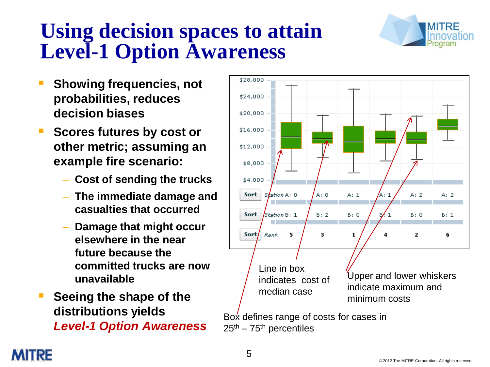### **Using decision spaces to attain Level-1 Option Awareness**



- **Showing frequencies, not probabilities, reduces decision biases**
- **Scores futures by cost or other metric; assuming an example fire scenario:**
	- **Cost of sending the trucks**
	- **The immediate damage and casualties that occurred**
	- **Damage that might occur elsewhere in the near future because the committed trucks are now unavailable**
- **Seeing the shape of the distributions yields** *Level-1 Option Awareness*

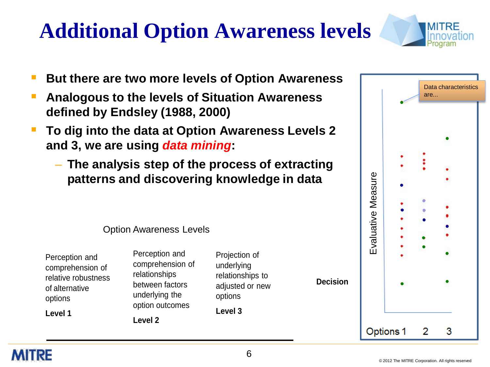# **Additional Option Awareness levels**



- **But there are two more levels of Option Awareness**
- **Analogous to the levels of Situation Awareness defined by Endsley (1988, 2000)**
- **To dig into the data at Option Awareness Levels 2 and 3, we are using** *data mining***:**
	- **The analysis step of the process of extracting patterns and discovering knowledge in data**



Option Awareness Levels

| Perception and      |  |  |  |
|---------------------|--|--|--|
| comprehension of    |  |  |  |
| relative robustness |  |  |  |
| of alternative      |  |  |  |
| options             |  |  |  |
| Level 1             |  |  |  |

Perception and comprehension of relationships between factors underlying the option outcomes **Level 2**

Projection of underlying relationships to adjusted or new options **Level 3**

**Decision**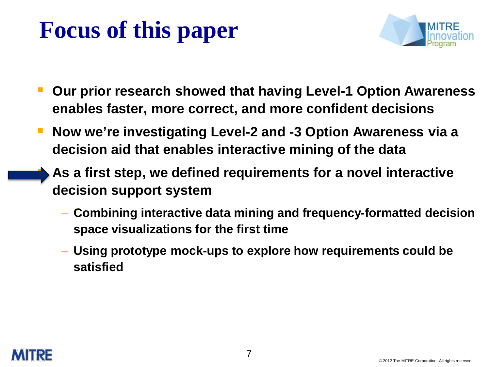# **Focus of this paper**



- **Our prior research showed that having Level-1 Option Awareness enables faster, more correct, and more confident decisions**
- **Now we're investigating Level-2 and -3 Option Awareness via a decision aid that enables interactive mining of the data**
	- **As a first step, we defined requirements for a novel interactive decision support system**
		- **Combining interactive data mining and frequency-formatted decision space visualizations for the first time**
		- **Using prototype mock-ups to explore how requirements could be satisfied**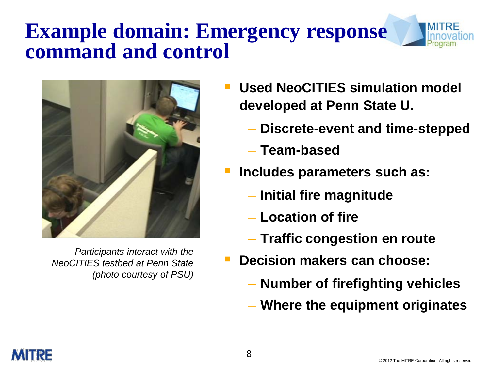### **Example domain: Emergency response command and control**



*Participants interact with the NeoCITIES testbed at Penn State (photo courtesy of PSU)*

- **Used NeoCITIES simulation model developed at Penn State U.**
	- **Discrete-event and time-stepped**
	- **Team-based**
- **Includes parameters such as:**
	- **Initial fire magnitude**
	- **Location of fire**
	- **Traffic congestion en route**
- **Decision makers can choose:**
	- **Number of firefighting vehicles**
	- **Where the equipment originates**

MITRF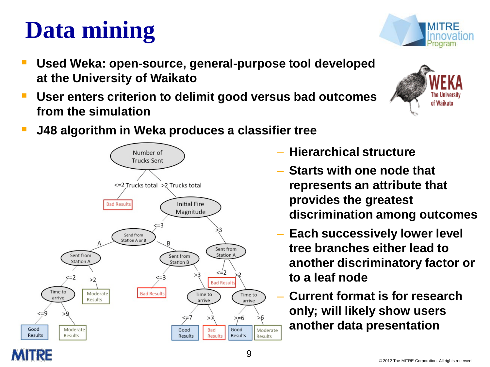#### © 2012 The MITRE Corporation. All rights reserved

# **Data mining**

- **Used Weka: open-source, general-purpose tool developed at the University of Waikato**
- **User enters criterion to delimit good versus bad outcomes from the simulation**
- **J48 algorithm in Weka produces a classifier tree**
	- **Hierarchical structure**
	- **Starts with one node that represents an attribute that provides the greatest discrimination among outcomes**
	- **Each successively lower level tree branches either lead to another discriminatory factor or to a leaf node**
	- **Current format is for research only; will likely show users another data presentation**





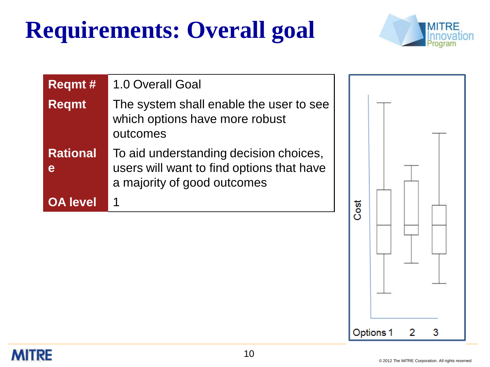# **Requirements: Overall goal**



| <b>Regmt#</b>        | 1.0 Overall Goal                                                                                                   |      |  |  |
|----------------------|--------------------------------------------------------------------------------------------------------------------|------|--|--|
| <b>Regmt</b>         | The system shall enable the user to see<br>which options have more robust<br>outcomes                              |      |  |  |
| <b>Rational</b><br>e | To aid understanding decision choices,<br>users will want to find options that have<br>a majority of good outcomes |      |  |  |
| <b>OA level</b>      |                                                                                                                    | Cost |  |  |
|                      |                                                                                                                    |      |  |  |

**MITRE** 

3

2

Options 1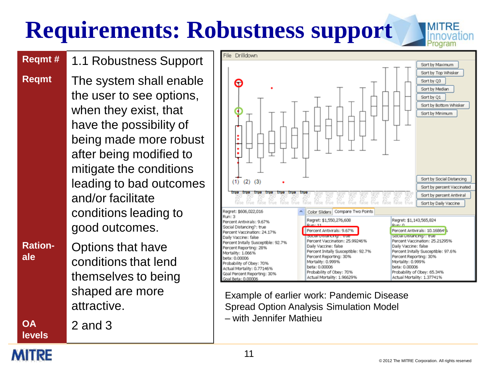# **Requirements: Robustness support**

**Reqmt #** 1.1 Robustness Support

**Reqmt** The system shall enable the user to see options, when they exist, that have the possibility of being made more robust after being modified to mitigate the conditions leading to bad outcomes and/or facilitate conditions leading to good outcomes.

**Ration-**

**Ration-** Options that have conditions that lend themselves to being shaped are more attractive.

2 and 3



Example of earlier work: Pandemic Disease Spread Option Analysis Simulation Model – with Jennifer Mathieu

MIRE

**OA levels**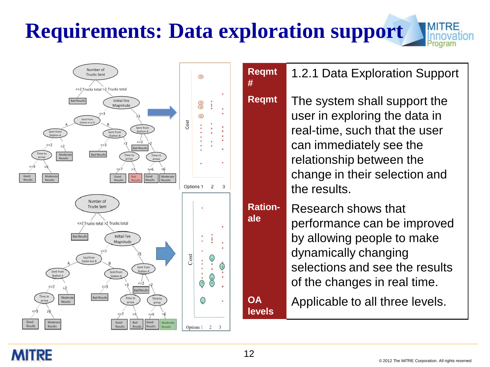# **Requirements: Data exploration support**





Number of Trucks Sent

> user in exploring the data in real-time, such that the user can immediately see the relationship between the change in their selection and the results. Research shows that

performance can be improved by allowing people to make dynamically changing selections and see the results of the changes in real time.

**OA** Applicable to all three levels.

#### MIRE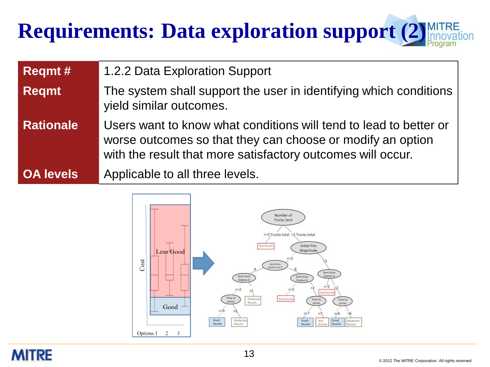# **Requirements: Data exploration support (2)**

| <b>Regmt#</b>    | 1.2.2 Data Exploration Support                                                                                                                                                                 |
|------------------|------------------------------------------------------------------------------------------------------------------------------------------------------------------------------------------------|
| <b>Regmt</b>     | The system shall support the user in identifying which conditions<br>yield similar outcomes.                                                                                                   |
| <b>Rationale</b> | Users want to know what conditions will tend to lead to better or<br>worse outcomes so that they can choose or modify an option<br>with the result that more satisfactory outcomes will occur. |
| <b>OA levels</b> | Applicable to all three levels.                                                                                                                                                                |

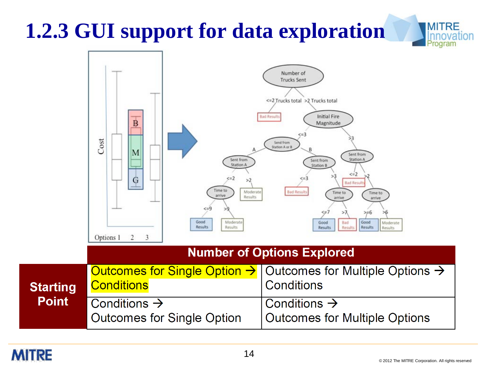# **1.2.3 GUI support for data exploration**

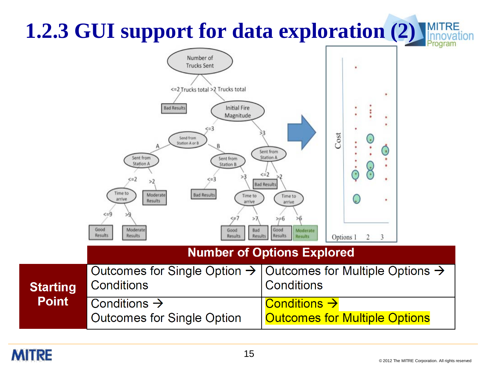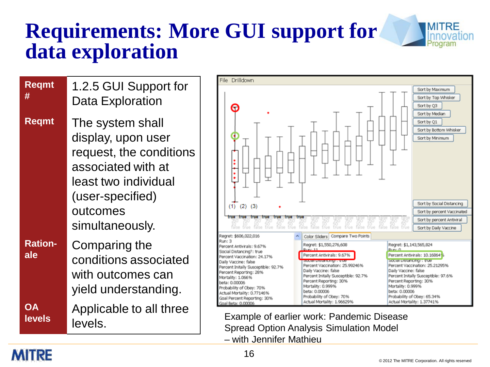### **Requirements: More GUI support for data exploration**



Example of earlier work: Pandemic Disease Spread Option Analysis Simulation Model – with Jennifer Mathieu

#### **MITRE**

**#**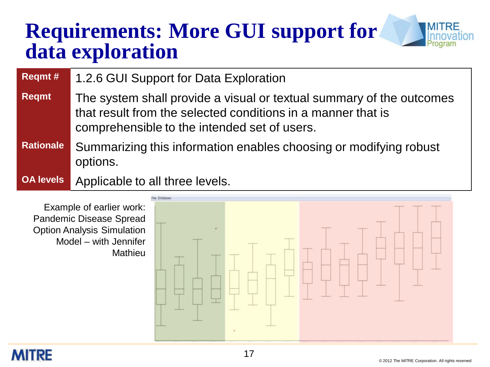### **Requirements: More GUI support for data exploration**



Example of earlier work: Pandemic Disease Spread Option Analysis Simulation Model – with Jennifer Mathieu